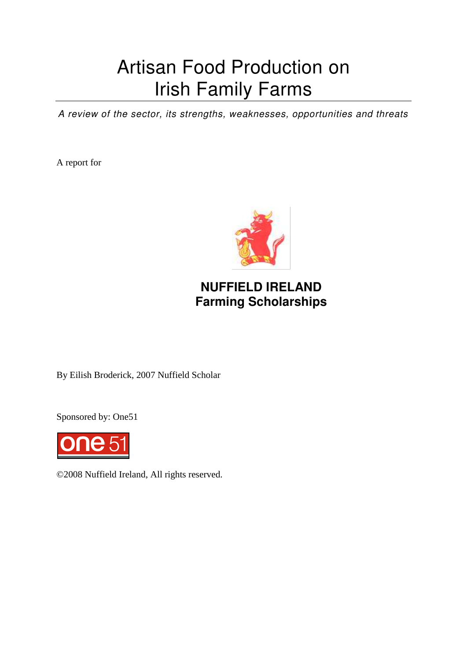# Artisan Food Production on Irish Family Farms

*A review of the sector, its strengths, weaknesses, opportunities and threats* 

A report for



## **NUFFIELD IRELAND Farming Scholarships**

By Eilish Broderick, 2007 Nuffield Scholar

Sponsored by: One51



©2008 Nuffield Ireland, All rights reserved.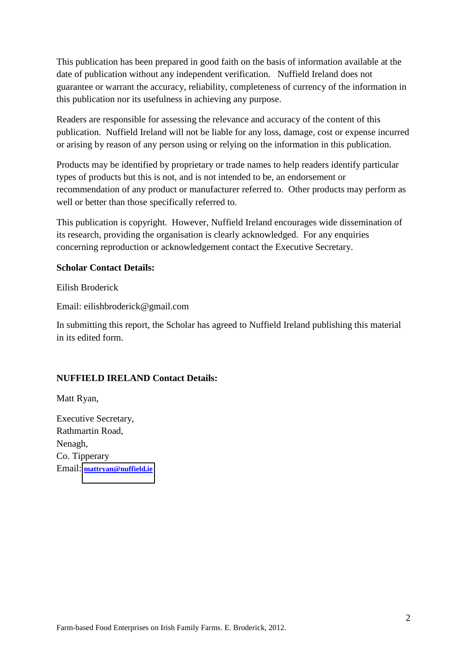This publication has been prepared in good faith on the basis of information available at the date of publication without any independent verification. Nuffield Ireland does not guarantee or warrant the accuracy, reliability, completeness of currency of the information in this publication nor its usefulness in achieving any purpose.

Readers are responsible for assessing the relevance and accuracy of the content of this publication. Nuffield Ireland will not be liable for any loss, damage, cost or expense incurred or arising by reason of any person using or relying on the information in this publication.

Products may be identified by proprietary or trade names to help readers identify particular types of products but this is not, and is not intended to be, an endorsement or recommendation of any product or manufacturer referred to. Other products may perform as well or better than those specifically referred to.

This publication is copyright. However, Nuffield Ireland encourages wide dissemination of its research, providing the organisation is clearly acknowledged. For any enquiries concerning reproduction or acknowledgement contact the Executive Secretary.

#### **Scholar Contact Details:**

Eilish Broderick

Email: eilishbroderick@gmail.com

In submitting this report, the Scholar has agreed to Nuffield Ireland publishing this material in its edited form.

#### **NUFFIELD IRELAND Contact Details:**

Matt Ryan,

Executive Secretary, Rathmartin Road, Nenagh, Co. Tipperary Email: **[mattryan@nuffield.ie](mailto:mattryan@nuffield.ie)**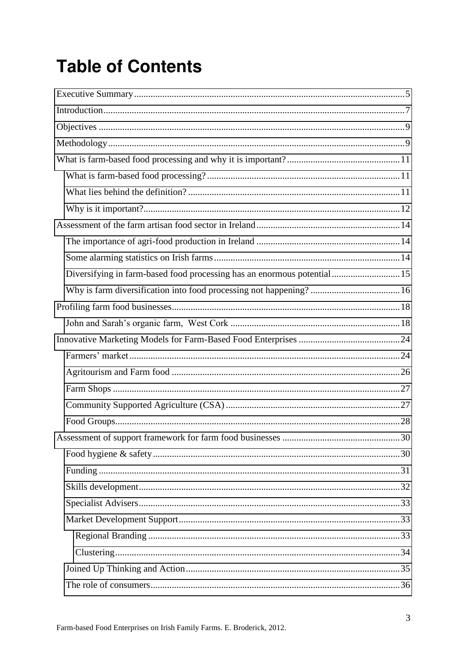# **Table of Contents**

| Diversifying in farm-based food processing has an enormous potential15 |  |
|------------------------------------------------------------------------|--|
|                                                                        |  |
|                                                                        |  |
|                                                                        |  |
|                                                                        |  |
|                                                                        |  |
|                                                                        |  |
|                                                                        |  |
|                                                                        |  |
|                                                                        |  |
|                                                                        |  |
|                                                                        |  |
|                                                                        |  |
|                                                                        |  |
|                                                                        |  |
|                                                                        |  |
|                                                                        |  |
|                                                                        |  |
|                                                                        |  |
|                                                                        |  |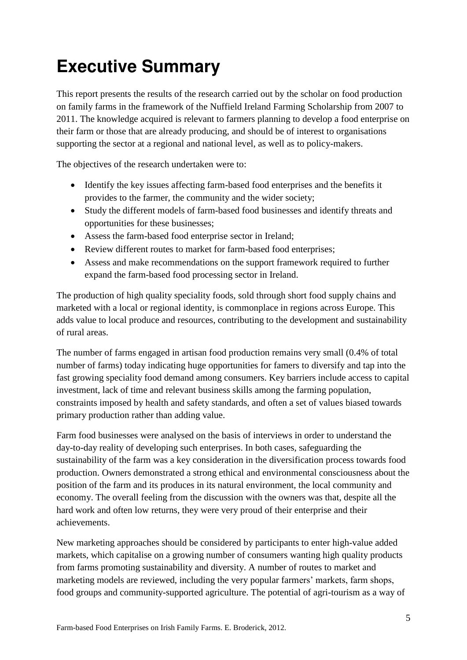# <span id="page-4-0"></span>**Executive Summary**

This report presents the results of the research carried out by the scholar on food production on family farms in the framework of the Nuffield Ireland Farming Scholarship from 2007 to 2011. The knowledge acquired is relevant to farmers planning to develop a food enterprise on their farm or those that are already producing, and should be of interest to organisations supporting the sector at a regional and national level, as well as to policy-makers.

The objectives of the research undertaken were to:

- Identify the key issues affecting farm-based food enterprises and the benefits it provides to the farmer, the community and the wider society;
- Study the different models of farm-based food businesses and identify threats and opportunities for these businesses;
- Assess the farm-based food enterprise sector in Ireland;
- Review different routes to market for farm-based food enterprises;
- Assess and make recommendations on the support framework required to further expand the farm-based food processing sector in Ireland.

The production of high quality speciality foods, sold through short food supply chains and marketed with a local or regional identity, is commonplace in regions across Europe. This adds value to local produce and resources, contributing to the development and sustainability of rural areas.

The number of farms engaged in artisan food production remains very small (0.4% of total number of farms) today indicating huge opportunities for famers to diversify and tap into the fast growing speciality food demand among consumers. Key barriers include access to capital investment, lack of time and relevant business skills among the farming population, constraints imposed by health and safety standards, and often a set of values biased towards primary production rather than adding value.

Farm food businesses were analysed on the basis of interviews in order to understand the day-to-day reality of developing such enterprises. In both cases, safeguarding the sustainability of the farm was a key consideration in the diversification process towards food production. Owners demonstrated a strong ethical and environmental consciousness about the position of the farm and its produces in its natural environment, the local community and economy. The overall feeling from the discussion with the owners was that, despite all the hard work and often low returns, they were very proud of their enterprise and their achievements.

New marketing approaches should be considered by participants to enter high-value added markets, which capitalise on a growing number of consumers wanting high quality products from farms promoting sustainability and diversity. A number of routes to market and marketing models are reviewed, including the very popular farmers' markets, farm shops, food groups and community-supported agriculture. The potential of agri-tourism as a way of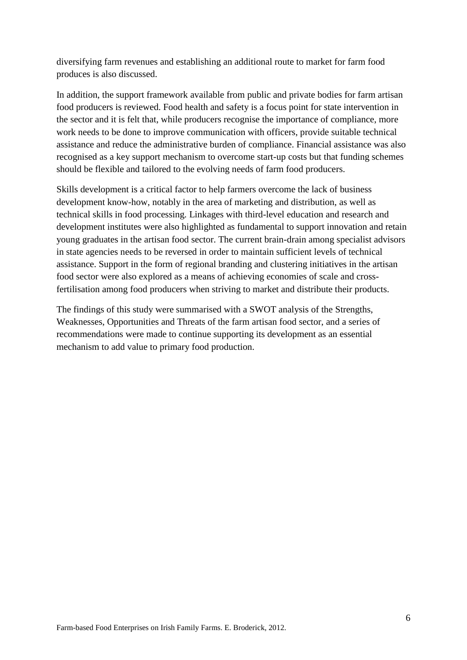diversifying farm revenues and establishing an additional route to market for farm food produces is also discussed.

In addition, the support framework available from public and private bodies for farm artisan food producers is reviewed. Food health and safety is a focus point for state intervention in the sector and it is felt that, while producers recognise the importance of compliance, more work needs to be done to improve communication with officers, provide suitable technical assistance and reduce the administrative burden of compliance. Financial assistance was also recognised as a key support mechanism to overcome start-up costs but that funding schemes should be flexible and tailored to the evolving needs of farm food producers.

Skills development is a critical factor to help farmers overcome the lack of business development know-how, notably in the area of marketing and distribution, as well as technical skills in food processing. Linkages with third-level education and research and development institutes were also highlighted as fundamental to support innovation and retain young graduates in the artisan food sector. The current brain-drain among specialist advisors in state agencies needs to be reversed in order to maintain sufficient levels of technical assistance. Support in the form of regional branding and clustering initiatives in the artisan food sector were also explored as a means of achieving economies of scale and crossfertilisation among food producers when striving to market and distribute their products.

The findings of this study were summarised with a SWOT analysis of the Strengths, Weaknesses, Opportunities and Threats of the farm artisan food sector, and a series of recommendations were made to continue supporting its development as an essential mechanism to add value to primary food production.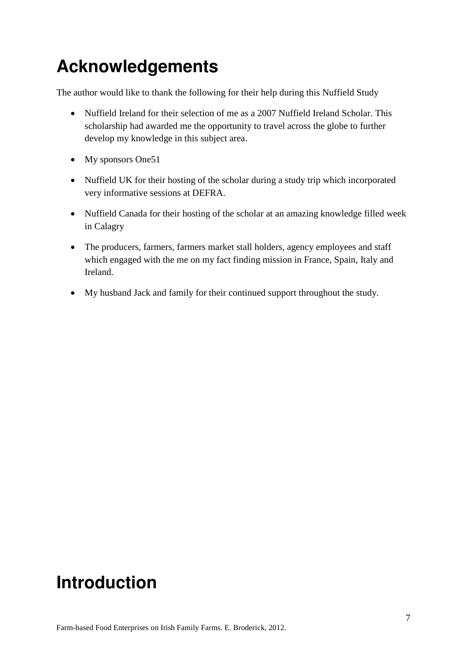## **Acknowledgements**

The author would like to thank the following for their help during this Nuffield Study

- Nuffield Ireland for their selection of me as a 2007 Nuffield Ireland Scholar. This scholarship had awarded me the opportunity to travel across the globe to further develop my knowledge in this subject area.
- My sponsors One51
- Nuffield UK for their hosting of the scholar during a study trip which incorporated very informative sessions at DEFRA.
- Nuffield Canada for their hosting of the scholar at an amazing knowledge filled week in Calagry
- The producers, farmers, farmers market stall holders, agency employees and staff which engaged with the me on my fact finding mission in France, Spain, Italy and Ireland.
- My husband Jack and family for their continued support throughout the study.

## <span id="page-6-0"></span>**Introduction**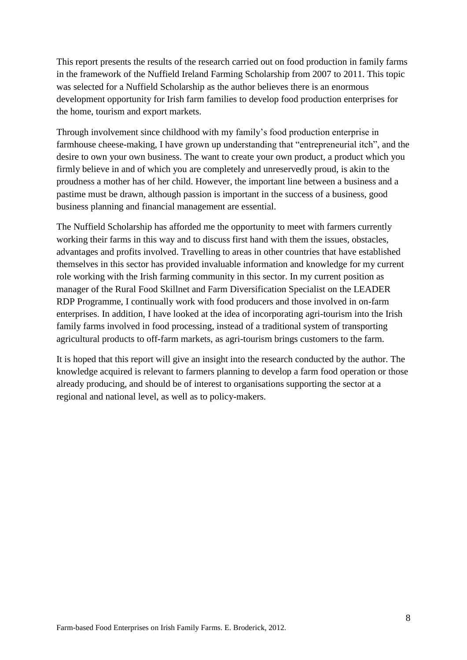This report presents the results of the research carried out on food production in family farms in the framework of the Nuffield Ireland Farming Scholarship from 2007 to 2011. This topic was selected for a Nuffield Scholarship as the author believes there is an enormous development opportunity for Irish farm families to develop food production enterprises for the home, tourism and export markets.

Through involvement since childhood with my family's food production enterprise in farmhouse cheese-making, I have grown up understanding that "entrepreneurial itch", and the desire to own your own business. The want to create your own product, a product which you firmly believe in and of which you are completely and unreservedly proud, is akin to the proudness a mother has of her child. However, the important line between a business and a pastime must be drawn, although passion is important in the success of a business, good business planning and financial management are essential.

The Nuffield Scholarship has afforded me the opportunity to meet with farmers currently working their farms in this way and to discuss first hand with them the issues, obstacles, advantages and profits involved. Travelling to areas in other countries that have established themselves in this sector has provided invaluable information and knowledge for my current role working with the Irish farming community in this sector. In my current position as manager of the Rural Food Skillnet and Farm Diversification Specialist on the LEADER RDP Programme, I continually work with food producers and those involved in on-farm enterprises. In addition, I have looked at the idea of incorporating agri-tourism into the Irish family farms involved in food processing, instead of a traditional system of transporting agricultural products to off-farm markets, as agri-tourism brings customers to the farm.

It is hoped that this report will give an insight into the research conducted by the author. The knowledge acquired is relevant to farmers planning to develop a farm food operation or those already producing, and should be of interest to organisations supporting the sector at a regional and national level, as well as to policy-makers.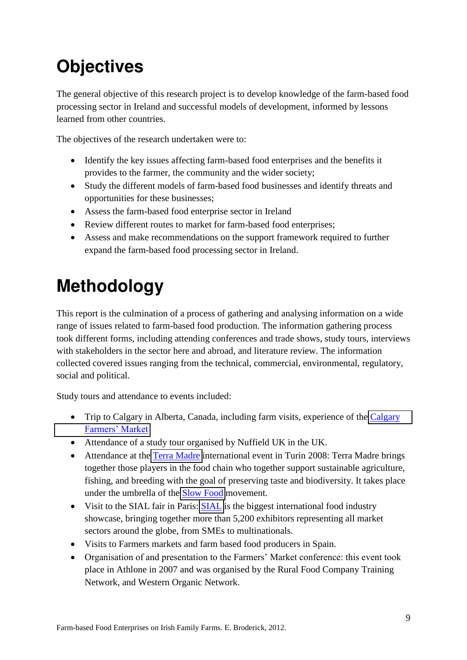# <span id="page-8-0"></span>**Objectives**

The general objective of this research project is to develop knowledge of the farm-based food processing sector in Ireland and successful models of development, informed by lessons learned from other countries.

The objectives of the research undertaken were to:

- Identify the key issues affecting farm-based food enterprises and the benefits it provides to the farmer, the community and the wider society;
- Study the different models of farm-based food businesses and identify threats and opportunities for these businesses;
- Assess the farm-based food enterprise sector in Ireland
- Review different routes to market for farm-based food enterprises;
- Assess and make recommendations on the support framework required to further expand the farm-based food processing sector in Ireland.

# <span id="page-8-1"></span>**Methodology**

This report is the culmination of a process of gathering and analysing information on a wide range of issues related to farm-based food production. The information gathering process took different forms, including attending conferences and trade shows, study tours, interviews with stakeholders in the sector here and abroad, and literature review. The information collected covered issues ranging from the technical, commercial, environmental, regulatory, social and political.

Study tours and attendance to events included:

- Trip to [Calgary](http://www.calgaryfarmersmarket.ca/) in Alberta, Canada, including farm visits, experience of the Calgary [Farmers' Market](http://www.calgaryfarmersmarket.ca/)
- Attendance of a study tour organised by Nuffield UK in the UK.
- Attendance at the [Terra Madre](http://www.terramadre.info/pagine/incontri/leggi.lasso?id=C2744B88187d7251C7nm20C9D5BA&tp=1&-session=terramadre:5B8EEE7C0760419982vYF06F6710) international event in Turin 2008: Terra Madre brings together those players in the food chain who together support sustainable agriculture, fishing, and breeding with the goal of preserving taste and biodiversity. It takes place under the umbrella of the [Slow Food](http://www.slowfoodireland.com/) movement.
- Visit to the [SIAL](http://www.sialparis.fr/) fair in Paris: SIAL is the biggest international food industry showcase, bringing together more than 5,200 exhibitors representing all market sectors around the globe, from SMEs to multinationals.
- Visits to Farmers markets and farm based food producers in Spain.
- Organisation of and presentation to the Farmers' Market conference: this event took place in Athlone in 2007 and was organised by the Rural Food Company Training Network, and Western Organic Network.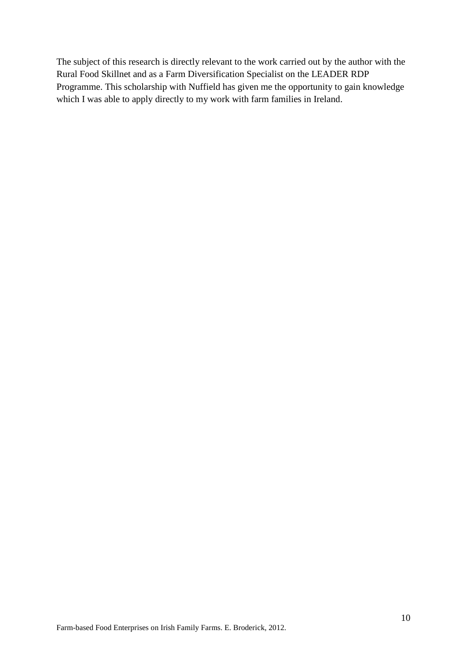The subject of this research is directly relevant to the work carried out by the author with the Rural Food Skillnet and as a Farm Diversification Specialist on the LEADER RDP Programme. This scholarship with Nuffield has given me the opportunity to gain knowledge which I was able to apply directly to my work with farm families in Ireland.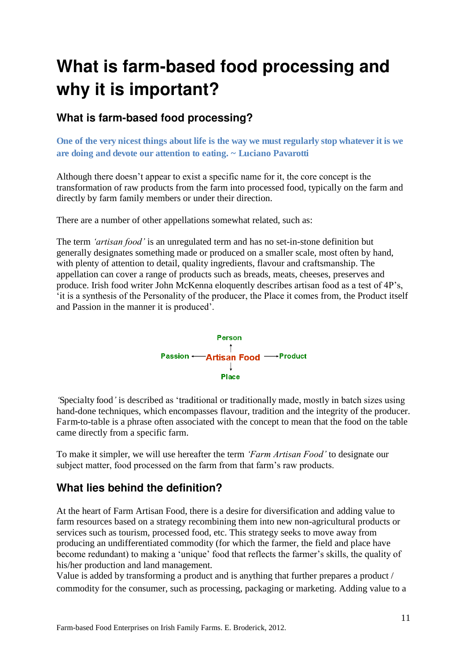## <span id="page-10-0"></span>**What is farm-based food processing and why it is important?**

### <span id="page-10-1"></span>**What is farm-based food processing?**

**One of the very nicest things about life is the way we must regularly stop whatever it is we are doing and devote our attention to eating. ~ Luciano Pavarotti** 

Although there doesn't appear to exist a specific name for it, the core concept is the transformation of raw products from the farm into processed food, typically on the farm and directly by farm family members or under their direction.

There are a number of other appellations somewhat related, such as:

The term *'artisan food'* is an unregulated term and has no set-in-stone definition but generally designates something made or produced on a smaller scale, most often by hand, with plenty of attention to detail, quality ingredients, flavour and craftsmanship. The appellation can cover a range of products such as breads, meats, cheeses, preserves and produce. Irish food writer John McKenna eloquently describes artisan food as a test of 4P's, 'it is a synthesis of the Personality of the producer, the Place it comes from, the Product itself and Passion in the manner it is produced'.



*'*Specialty food*'* is described as 'traditional or traditionally made, mostly in batch sizes using hand-done techniques, which encompasses flavour, tradition and the integrity of the producer. Farm-to-table is a phrase often associated with the concept to mean that the food on the table came directly from a specific farm.

To make it simpler, we will use hereafter the term *'Farm Artisan Food'* to designate our subject matter, food processed on the farm from that farm's raw products.

### <span id="page-10-2"></span>**What lies behind the definition?**

At the heart of Farm Artisan Food, there is a desire for diversification and adding value to farm resources based on a strategy recombining them into new non-agricultural products or services such as tourism, processed food, etc. This strategy seeks to move away from producing an undifferentiated commodity (for which the farmer, the field and place have become redundant) to making a 'unique' food that reflects the farmer's skills, the quality of his/her production and land management.

Value is added by transforming a product and is anything that further prepares a product / commodity for the consumer, such as processing, packaging or marketing. Adding value to a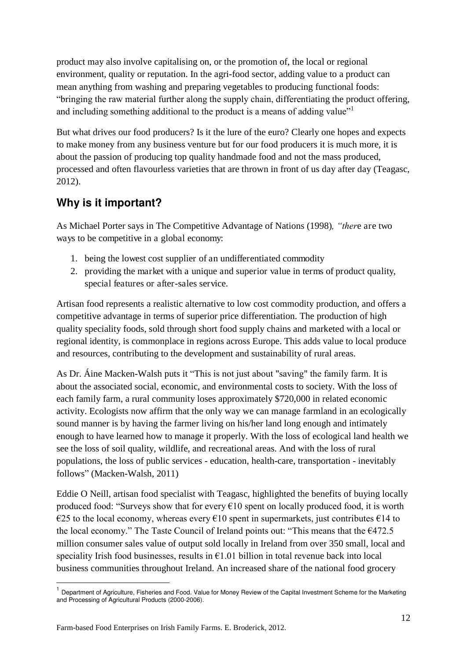product may also involve capitalising on, or the promotion of, the local or regional environment, quality or reputation. In the agri-food sector, adding value to a product can mean anything from washing and preparing vegetables to producing functional foods: "bringing the raw material further along the supply chain, differentiating the product offering, and including something additional to the product is a means of adding value"

But what drives our food producers? Is it the lure of the euro? Clearly one hopes and expects to make money from any business venture but for our food producers it is much more, it is about the passion of producing top quality handmade food and not the mass produced, processed and often flavourless varieties that are thrown in front of us day after day (Teagasc, 2012).

## <span id="page-11-0"></span>**Why is it important?**

As Michael Porter says in The Competitive Advantage of Nations (1998)*, "ther*e are two ways to be competitive in a global economy:

- 1. being the lowest cost supplier of an undifferentiated commodity
- 2. providing the market with a unique and superior value in terms of product quality, special features or after-sales service.

Artisan food represents a realistic alternative to low cost commodity production, and offers a competitive advantage in terms of superior price differentiation. The production of high quality speciality foods, sold through short food supply chains and marketed with a local or regional identity, is commonplace in regions across Europe. This adds value to local produce and resources, contributing to the development and sustainability of rural areas.

As Dr. Áine Macken-Walsh puts it "This is not just about "saving" the family farm. It is about the associated social, economic, and environmental costs to society. With the loss of each family farm, a rural community loses approximately \$720,000 in related economic activity. Ecologists now affirm that the only way we can manage farmland in an ecologically sound manner is by having the farmer living on his/her land long enough and intimately enough to have learned how to manage it properly. With the loss of ecological land health we see the loss of soil quality, wildlife, and recreational areas. And with the loss of rural populations, the loss of public services - education, health-care, transportation - inevitably follows" (Macken-Walsh, 2011)

Eddie O Neill, artisan food specialist with Teagasc, highlighted the benefits of buying locally produced food: "Surveys show that for every  $\epsilon$ 10 spent on locally produced food, it is worth  $\epsilon$ 25 to the local economy, whereas every  $\epsilon$ 10 spent in supermarkets, just contributes  $\epsilon$ 14 to the local economy." The Taste Council of Ireland points out: "This means that the  $6472.5$ " million consumer sales value of output sold locally in Ireland from over 350 small, local and speciality Irish food businesses, results in  $\epsilon$ 1.01 billion in total revenue back into local business communities throughout Ireland. An increased share of the national food grocery

<u>.</u>

<sup>&</sup>lt;sup>1</sup> Department of Agriculture, Fisheries and Food. Value for Money Review of the Capital Investment Scheme for the Marketing and Processing of Agricultural Products (2000-2006).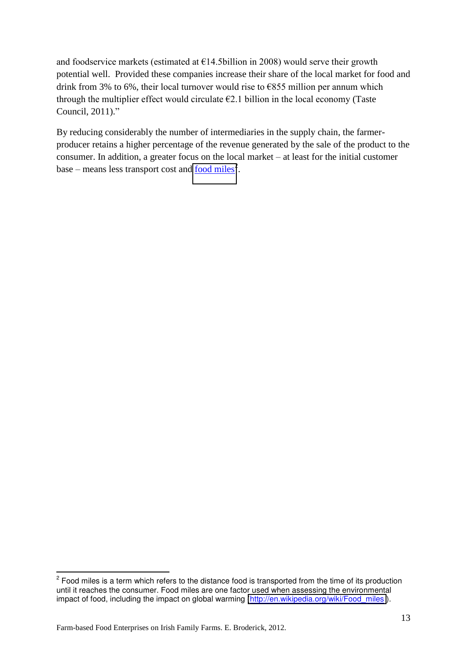and foodservice markets (estimated at  $E14.5$ billion in 2008) would serve their growth potential well. Provided these companies increase their share of the local market for food and drink from 3% to 6%, their local turnover would rise to  $\epsilon$ 855 million per annum which through the multiplier effect would circulate  $E2.1$  billion in the local economy (Taste Council, 2011)."

By reducing considerably the number of intermediaries in the supply chain, the farmerproducer retains a higher percentage of the revenue generated by the sale of the product to the consumer. In addition, a greater focus on the local market – at least for the initial customer base – means less transport cost and  $\frac{food \, miles^2}{}$ .

 $\overline{\phantom{a}}$  $2$  Food miles is a term which refers to the distance food is transported from the time of its production until it reaches the consumer. Food miles are one factor used when assessing the environmental impact of food, including the impact on global warming [\(http://en.wikipedia.org/wiki/Food\\_miles](http://en.wikipedia.org/wiki/Food_miles) ).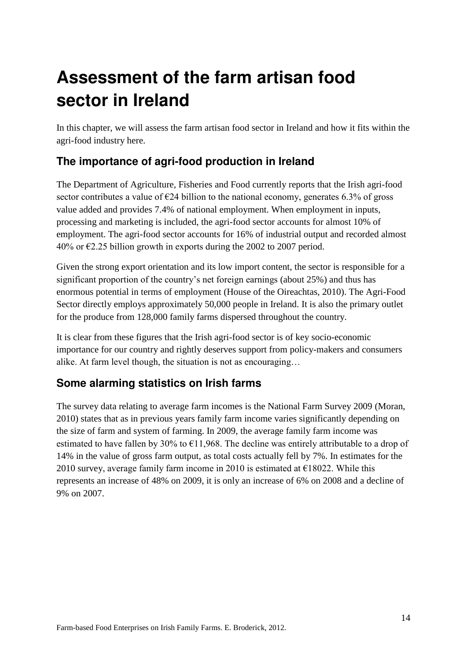# <span id="page-13-0"></span>**Assessment of the farm artisan food sector in Ireland**

In this chapter, we will assess the farm artisan food sector in Ireland and how it fits within the agri-food industry here.

## <span id="page-13-1"></span>**The importance of agri-food production in Ireland**

The Department of Agriculture, Fisheries and Food currently reports that the Irish agri-food sector contributes a value of  $\epsilon$ 24 billion to the national economy, generates 6.3% of gross value added and provides 7.4% of national employment. When employment in inputs, processing and marketing is included, the agri-food sector accounts for almost 10% of employment. The agri-food sector accounts for 16% of industrial output and recorded almost  $40\%$  or  $\epsilon$ 2.25 billion growth in exports during the 2002 to 2007 period.

Given the strong export orientation and its low import content, the sector is responsible for a significant proportion of the country's net foreign earnings (about 25%) and thus has enormous potential in terms of employment (House of the Oireachtas, 2010). The Agri-Food Sector directly employs approximately 50,000 people in Ireland. It is also the primary outlet for the produce from 128,000 family farms dispersed throughout the country.

It is clear from these figures that the Irish agri-food sector is of key socio-economic importance for our country and rightly deserves support from policy-makers and consumers alike. At farm level though, the situation is not as encouraging…

### <span id="page-13-2"></span>**Some alarming statistics on Irish farms**

The survey data relating to average farm incomes is the National Farm Survey 2009 (Moran, 2010) states that as in previous years family farm income varies significantly depending on the size of farm and system of farming. In 2009, the average family farm income was estimated to have fallen by 30% to  $\epsilon$ 11,968. The decline was entirely attributable to a drop of 14% in the value of gross farm output, as total costs actually fell by 7%. In estimates for the 2010 survey, average family farm income in 2010 is estimated at  $E18022$ . While this represents an increase of 48% on 2009, it is only an increase of 6% on 2008 and a decline of 9% on 2007.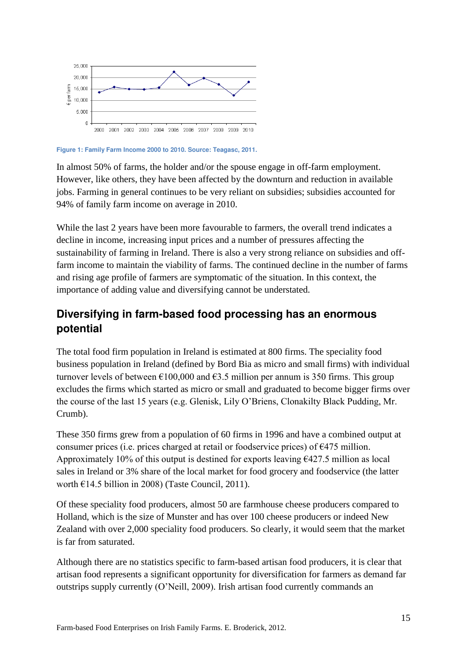

**Figure 1: Family Farm Income 2000 to 2010. Source: Teagasc, 2011.**

In almost 50% of farms, the holder and/or the spouse engage in off-farm employment. However, like others, they have been affected by the downturn and reduction in available jobs. Farming in general continues to be very reliant on subsidies; subsidies accounted for 94% of family farm income on average in 2010.

While the last 2 years have been more favourable to farmers, the overall trend indicates a decline in income, increasing input prices and a number of pressures affecting the sustainability of farming in Ireland. There is also a very strong reliance on subsidies and offfarm income to maintain the viability of farms. The continued decline in the number of farms and rising age profile of farmers are symptomatic of the situation. In this context, the importance of adding value and diversifying cannot be understated.

### <span id="page-14-0"></span>**Diversifying in farm-based food processing has an enormous potential**

The total food firm population in Ireland is estimated at 800 firms. The speciality food business population in Ireland (defined by Bord Bia as micro and small firms) with individual turnover levels of between  $\epsilon$ 100,000 and  $\epsilon$ 3.5 million per annum is 350 firms. This group excludes the firms which started as micro or small and graduated to become bigger firms over the course of the last 15 years (e.g. Glenisk, Lily O'Briens, Clonakilty Black Pudding, Mr. Crumb).

These 350 firms grew from a population of 60 firms in 1996 and have a combined output at consumer prices (i.e. prices charged at retail or foodservice prices) of  $\epsilon$ 475 million. Approximately 10% of this output is destined for exports leaving  $\epsilon$ 427.5 million as local sales in Ireland or 3% share of the local market for food grocery and foodservice (the latter worth €14.5 billion in 2008) (Taste Council, 2011).

Of these speciality food producers, almost 50 are farmhouse cheese producers compared to Holland, which is the size of Munster and has over 100 cheese producers or indeed New Zealand with over 2,000 speciality food producers. So clearly, it would seem that the market is far from saturated.

Although there are no statistics specific to farm-based artisan food producers, it is clear that artisan food represents a significant opportunity for diversification for farmers as demand far outstrips supply currently (O'Neill, 2009). Irish artisan food currently commands an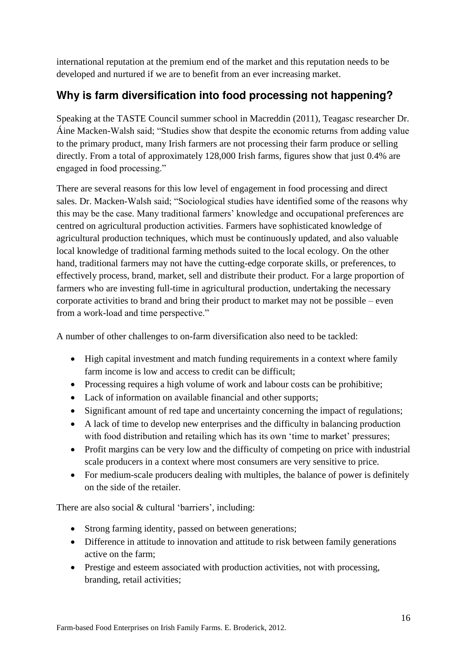international reputation at the premium end of the market and this reputation needs to be developed and nurtured if we are to benefit from an ever increasing market.

## <span id="page-15-0"></span>**Why is farm diversification into food processing not happening?**

Speaking at the TASTE Council summer school in Macreddin (2011), Teagasc researcher Dr. Áine Macken-Walsh said; "Studies show that despite the economic returns from adding value to the primary product, many Irish farmers are not processing their farm produce or selling directly. From a total of approximately 128,000 Irish farms, figures show that just 0.4% are engaged in food processing."

There are several reasons for this low level of engagement in food processing and direct sales. Dr. Macken-Walsh said; "Sociological studies have identified some of the reasons why this may be the case. Many traditional farmers' knowledge and occupational preferences are centred on agricultural production activities. Farmers have sophisticated knowledge of agricultural production techniques, which must be continuously updated, and also valuable local knowledge of traditional farming methods suited to the local ecology. On the other hand, traditional farmers may not have the cutting-edge corporate skills, or preferences, to effectively process, brand, market, sell and distribute their product. For a large proportion of farmers who are investing full-time in agricultural production, undertaking the necessary corporate activities to brand and bring their product to market may not be possible – even from a work-load and time perspective."

A number of other challenges to on-farm diversification also need to be tackled:

- High capital investment and match funding requirements in a context where family farm income is low and access to credit can be difficult;
- Processing requires a high volume of work and labour costs can be prohibitive;
- Lack of information on available financial and other supports;
- Significant amount of red tape and uncertainty concerning the impact of regulations;
- A lack of time to develop new enterprises and the difficulty in balancing production with food distribution and retailing which has its own 'time to market' pressures;
- Profit margins can be very low and the difficulty of competing on price with industrial scale producers in a context where most consumers are very sensitive to price.
- For medium-scale producers dealing with multiples, the balance of power is definitely on the side of the retailer.

There are also social & cultural 'barriers', including:

- Strong farming identity, passed on between generations;
- Difference in attitude to innovation and attitude to risk between family generations active on the farm;
- Prestige and esteem associated with production activities, not with processing, branding, retail activities;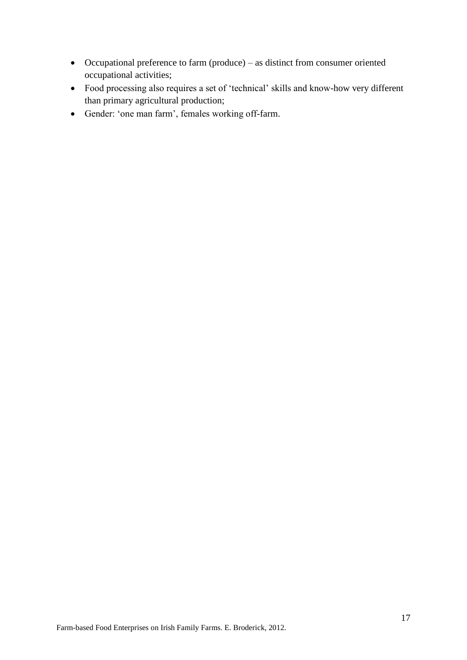- Occupational preference to farm (produce) as distinct from consumer oriented occupational activities;
- Food processing also requires a set of 'technical' skills and know-how very different than primary agricultural production;
- Gender: 'one man farm', females working off-farm.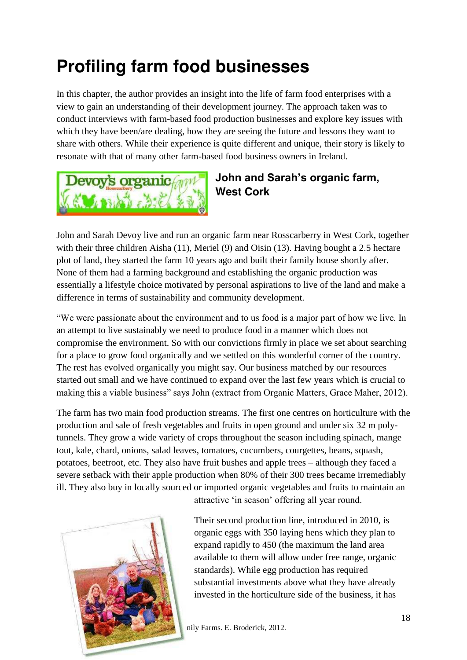## <span id="page-17-0"></span>**Profiling farm food businesses**

In this chapter, the author provides an insight into the life of farm food enterprises with a view to gain an understanding of their development journey. The approach taken was to conduct interviews with farm-based food production businesses and explore key issues with which they have been/are dealing, how they are seeing the future and lessons they want to share with others. While their experience is quite different and unique, their story is likely to resonate with that of many other farm-based food business owners in Ireland.



## <span id="page-17-1"></span>**John and Sarah's organic farm, West Cork**

John and Sarah Devoy live and run an organic farm near Rosscarberry in West Cork, together with their three children Aisha (11), Meriel (9) and Oisin (13). Having bought a 2.5 hectare plot of land, they started the farm 10 years ago and built their family house shortly after. None of them had a farming background and establishing the organic production was essentially a lifestyle choice motivated by personal aspirations to live of the land and make a difference in terms of sustainability and community development.

"We were passionate about the environment and to us food is a major part of how we live. In an attempt to live sustainably we need to produce food in a manner which does not compromise the environment. So with our convictions firmly in place we set about searching for a place to grow food organically and we settled on this wonderful corner of the country. The rest has evolved organically you might say. Our business matched by our resources started out small and we have continued to expand over the last few years which is crucial to making this a viable business" says John (extract from Organic Matters, Grace Maher, 2012).

The farm has two main food production streams. The first one centres on horticulture with the production and sale of fresh vegetables and fruits in open ground and under six 32 m polytunnels. They grow a wide variety of crops throughout the season including spinach, mange tout, kale, chard, onions, salad leaves, tomatoes, cucumbers, courgettes, beans, squash, potatoes, beetroot, etc. They also have fruit bushes and apple trees – although they faced a severe setback with their apple production when 80% of their 300 trees became irremediably ill. They also buy in locally sourced or imported organic vegetables and fruits to maintain an



attractive 'in season' offering all year round.

Their second production line, introduced in 2010, is organic eggs with 350 laying hens which they plan to expand rapidly to 450 (the maximum the land area available to them will allow under free range, organic standards). While egg production has required substantial investments above what they have already invested in the horticulture side of the business, it has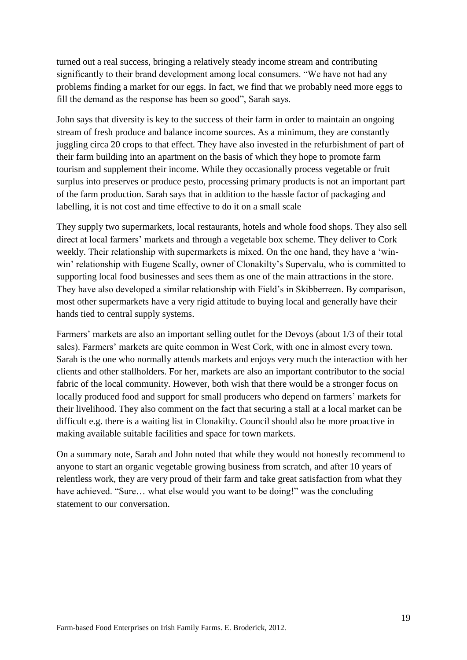turned out a real success, bringing a relatively steady income stream and contributing significantly to their brand development among local consumers. "We have not had any problems finding a market for our eggs. In fact, we find that we probably need more eggs to fill the demand as the response has been so good", Sarah says.

John says that diversity is key to the success of their farm in order to maintain an ongoing stream of fresh produce and balance income sources. As a minimum, they are constantly juggling circa 20 crops to that effect. They have also invested in the refurbishment of part of their farm building into an apartment on the basis of which they hope to promote farm tourism and supplement their income. While they occasionally process vegetable or fruit surplus into preserves or produce pesto, processing primary products is not an important part of the farm production. Sarah says that in addition to the hassle factor of packaging and labelling, it is not cost and time effective to do it on a small scale

They supply two supermarkets, local restaurants, hotels and whole food shops. They also sell direct at local farmers' markets and through a vegetable box scheme. They deliver to Cork weekly. Their relationship with supermarkets is mixed. On the one hand, they have a 'winwin' relationship with Eugene Scally, owner of Clonakilty's Supervalu, who is committed to supporting local food businesses and sees them as one of the main attractions in the store. They have also developed a similar relationship with Field's in Skibberreen. By comparison, most other supermarkets have a very rigid attitude to buying local and generally have their hands tied to central supply systems.

Farmers' markets are also an important selling outlet for the Devoys (about 1/3 of their total sales). Farmers' markets are quite common in West Cork, with one in almost every town. Sarah is the one who normally attends markets and enjoys very much the interaction with her clients and other stallholders. For her, markets are also an important contributor to the social fabric of the local community. However, both wish that there would be a stronger focus on locally produced food and support for small producers who depend on farmers' markets for their livelihood. They also comment on the fact that securing a stall at a local market can be difficult e.g. there is a waiting list in Clonakilty. Council should also be more proactive in making available suitable facilities and space for town markets.

On a summary note, Sarah and John noted that while they would not honestly recommend to anyone to start an organic vegetable growing business from scratch, and after 10 years of relentless work, they are very proud of their farm and take great satisfaction from what they have achieved. "Sure... what else would you want to be doing!" was the concluding statement to our conversation.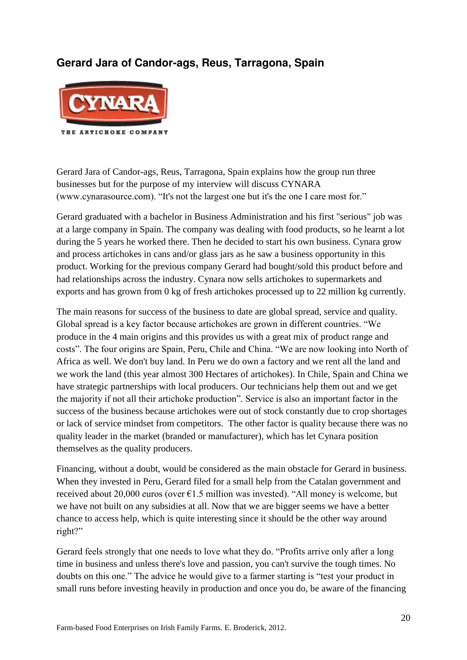### **Gerard Jara of Candor-ags, Reus, Tarragona, Spain**



Gerard Jara of Candor-ags, Reus, Tarragona, Spain explains how the group run three businesses but for the purpose of my interview will discuss CYNARA (www.cynarasource.com). "It's not the largest one but it's the one I care most for."

Gerard graduated with a bachelor in Business Administration and his first "serious" job was at a large company in Spain. The company was dealing with food products, so he learnt a lot during the 5 years he worked there. Then he decided to start his own business. Cynara grow and process artichokes in cans and/or glass jars as he saw a business opportunity in this product. Working for the previous company Gerard had bought/sold this product before and had relationships across the industry. Cynara now sells artichokes to supermarkets and exports and has grown from 0 kg of fresh artichokes processed up to 22 million kg currently.

The main reasons for success of the business to date are global spread, service and quality. Global spread is a key factor because artichokes are grown in different countries. "We produce in the 4 main origins and this provides us with a great mix of product range and costs". The four origins are Spain, Peru, Chile and China. "We are now looking into North of Africa as well. We don't buy land. In Peru we do own a factory and we rent all the land and we work the land (this year almost 300 Hectares of artichokes). In Chile, Spain and China we have strategic partnerships with local producers. Our technicians help them out and we get the majority if not all their artichoke production". Service is also an important factor in the success of the business because artichokes were out of stock constantly due to crop shortages or lack of service mindset from competitors. The other factor is quality because there was no quality leader in the market (branded or manufacturer), which has let Cynara position themselves as the quality producers.

Financing, without a doubt, would be considered as the main obstacle for Gerard in business. When they invested in Peru, Gerard filed for a small help from the Catalan government and received about 20,000 euros (over  $\epsilon$ 1.5 million was invested). "All money is welcome, but we have not built on any subsidies at all. Now that we are bigger seems we have a better chance to access help, which is quite interesting since it should be the other way around right?"

Gerard feels strongly that one needs to love what they do. "Profits arrive only after a long time in business and unless there's love and passion, you can't survive the tough times. No doubts on this one." The advice he would give to a farmer starting is "test your product in small runs before investing heavily in production and once you do, be aware of the financing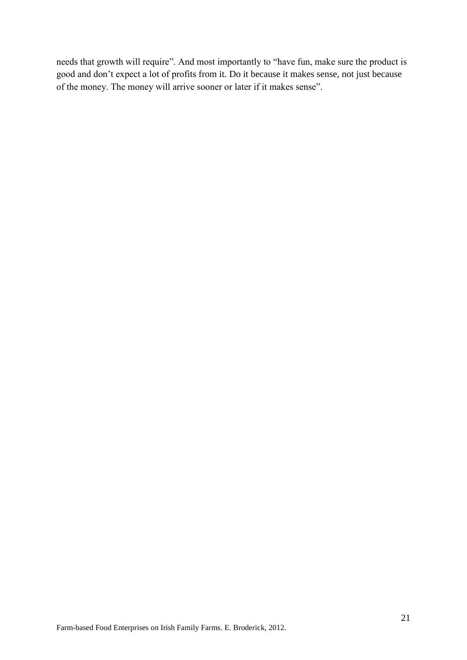needs that growth will require". And most importantly to "have fun, make sure the product is good and don't expect a lot of profits from it. Do it because it makes sense, not just because of the money. The money will arrive sooner or later if it makes sense".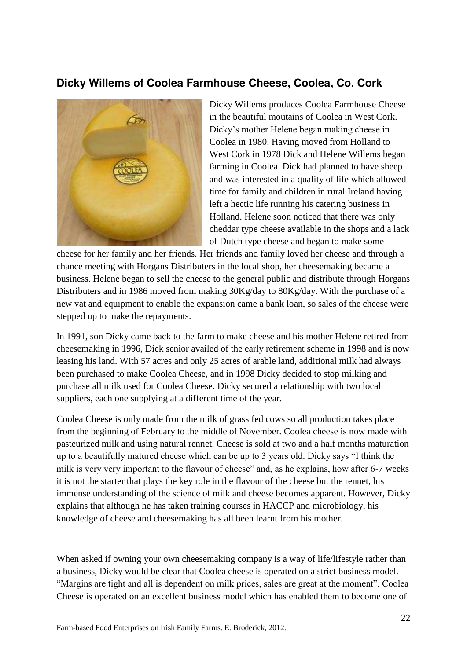#### **Dicky Willems of Coolea Farmhouse Cheese, Coolea, Co. Cork**



Dicky Willems produces Coolea Farmhouse Cheese in the beautiful moutains of Coolea in West Cork. Dicky's mother Helene began making cheese in Coolea in 1980. Having moved from Holland to West Cork in 1978 Dick and Helene Willems began farming in Coolea. Dick had planned to have sheep and was interested in a quality of life which allowed time for family and children in rural Ireland having left a hectic life running his catering business in Holland. Helene soon noticed that there was only cheddar type cheese available in the shops and a lack of Dutch type cheese and began to make some

cheese for her family and her friends. Her friends and family loved her cheese and through a chance meeting with Horgans Distributers in the local shop, her cheesemaking became a business. Helene began to sell the cheese to the general public and distribute through Horgans Distributers and in 1986 moved from making 30Kg/day to 80Kg/day. With the purchase of a new vat and equipment to enable the expansion came a bank loan, so sales of the cheese were stepped up to make the repayments.

In 1991, son Dicky came back to the farm to make cheese and his mother Helene retired from cheesemaking in 1996, Dick senior availed of the early retirement scheme in 1998 and is now leasing his land. With 57 acres and only 25 acres of arable land, additional milk had always been purchased to make Coolea Cheese, and in 1998 Dicky decided to stop milking and purchase all milk used for Coolea Cheese. Dicky secured a relationship with two local suppliers, each one supplying at a different time of the year.

Coolea Cheese is only made from the milk of grass fed cows so all production takes place from the beginning of February to the middle of November. Coolea cheese is now made with pasteurized milk and using natural rennet. Cheese is sold at two and a half months maturation up to a beautifully matured cheese which can be up to 3 years old. Dicky says "I think the milk is very very important to the flavour of cheese" and, as he explains, how after 6-7 weeks it is not the starter that plays the key role in the flavour of the cheese but the rennet, his immense understanding of the science of milk and cheese becomes apparent. However, Dicky explains that although he has taken training courses in HACCP and microbiology, his knowledge of cheese and cheesemaking has all been learnt from his mother.

When asked if owning your own cheesemaking company is a way of life/lifestyle rather than a business, Dicky would be clear that Coolea cheese is operated on a strict business model. "Margins are tight and all is dependent on milk prices, sales are great at the moment". Coolea Cheese is operated on an excellent business model which has enabled them to become one of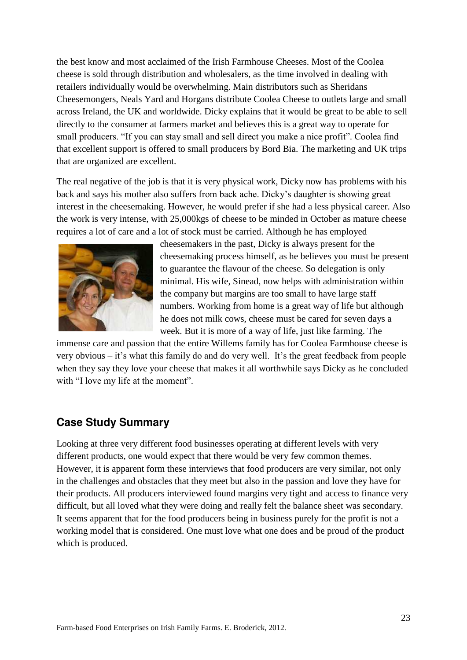the best know and most acclaimed of the Irish Farmhouse Cheeses. Most of the Coolea cheese is sold through distribution and wholesalers, as the time involved in dealing with retailers individually would be overwhelming. Main distributors such as Sheridans Cheesemongers, Neals Yard and Horgans distribute Coolea Cheese to outlets large and small across Ireland, the UK and worldwide. Dicky explains that it would be great to be able to sell directly to the consumer at farmers market and believes this is a great way to operate for small producers. "If you can stay small and sell direct you make a nice profit". Coolea find that excellent support is offered to small producers by Bord Bia. The marketing and UK trips that are organized are excellent.

The real negative of the job is that it is very physical work, Dicky now has problems with his back and says his mother also suffers from back ache. Dicky's daughter is showing great interest in the cheesemaking. However, he would prefer if she had a less physical career. Also the work is very intense, with 25,000kgs of cheese to be minded in October as mature cheese requires a lot of care and a lot of stock must be carried. Although he has employed



cheesemakers in the past, Dicky is always present for the cheesemaking process himself, as he believes you must be present to guarantee the flavour of the cheese. So delegation is only minimal. His wife, Sinead, now helps with administration within the company but margins are too small to have large staff numbers. Working from home is a great way of life but although he does not milk cows, cheese must be cared for seven days a week. But it is more of a way of life, just like farming. The

immense care and passion that the entire Willems family has for Coolea Farmhouse cheese is very obvious – it's what this family do and do very well. It's the great feedback from people when they say they love your cheese that makes it all worthwhile says Dicky as he concluded with "I love my life at the moment".

#### **Case Study Summary**

Looking at three very different food businesses operating at different levels with very different products, one would expect that there would be very few common themes. However, it is apparent form these interviews that food producers are very similar, not only in the challenges and obstacles that they meet but also in the passion and love they have for their products. All producers interviewed found margins very tight and access to finance very difficult, but all loved what they were doing and really felt the balance sheet was secondary. It seems apparent that for the food producers being in business purely for the profit is not a working model that is considered. One must love what one does and be proud of the product which is produced.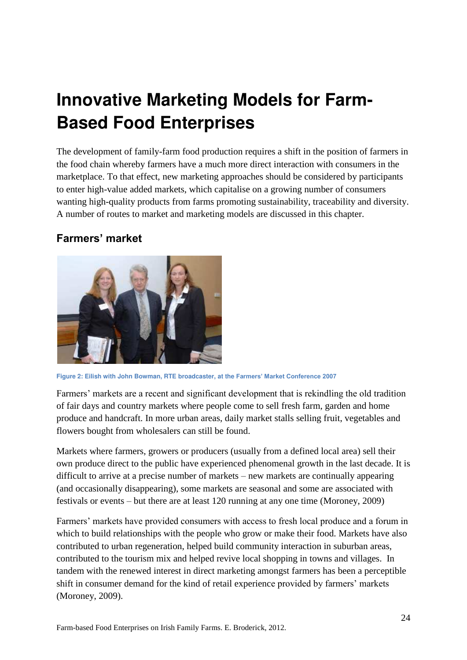# <span id="page-23-0"></span>**Innovative Marketing Models for Farm-Based Food Enterprises**

The development of family-farm food production requires a shift in the position of farmers in the food chain whereby farmers have a much more direct interaction with consumers in the marketplace. To that effect, new marketing approaches should be considered by participants to enter high-value added markets, which capitalise on a growing number of consumers wanting high-quality products from farms promoting sustainability, traceability and diversity. A number of routes to market and marketing models are discussed in this chapter.

#### <span id="page-23-1"></span>**Farmers' market**



**Figure 2: Eilish with John Bowman, RTE broadcaster, at the Farmers' Market Conference 2007**

Farmers' markets are a recent and significant development that is rekindling the old tradition of fair days and country markets where people come to sell fresh farm, garden and home produce and handcraft. In more urban areas, daily market stalls selling fruit, vegetables and flowers bought from wholesalers can still be found.

Markets where farmers, growers or producers (usually from a defined local area) sell their own produce direct to the public have experienced phenomenal growth in the last decade. It is difficult to arrive at a precise number of markets – new markets are continually appearing (and occasionally disappearing), some markets are seasonal and some are associated with festivals or events – but there are at least 120 running at any one time (Moroney, 2009)

Farmers' markets have provided consumers with access to fresh local produce and a forum in which to build relationships with the people who grow or make their food. Markets have also contributed to urban regeneration, helped build community interaction in suburban areas, contributed to the tourism mix and helped revive local shopping in towns and villages. In tandem with the renewed interest in direct marketing amongst farmers has been a perceptible shift in consumer demand for the kind of retail experience provided by farmers' markets (Moroney, 2009).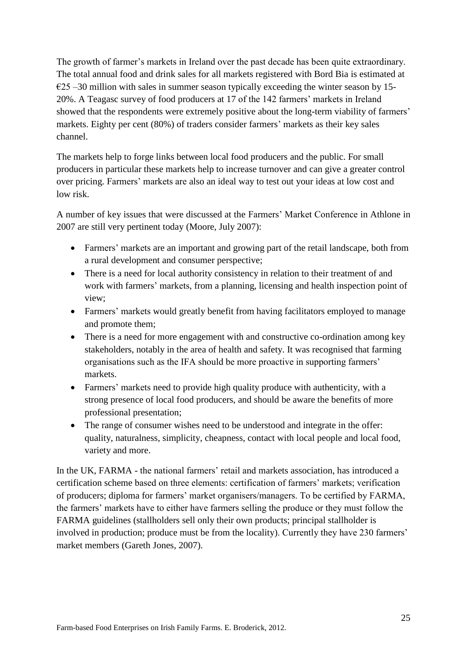The growth of farmer's markets in Ireland over the past decade has been quite extraordinary. The total annual food and drink sales for all markets registered with Bord Bia is estimated at  $\epsilon$ 25 –30 million with sales in summer season typically exceeding the winter season by 15-20%. A Teagasc survey of food producers at 17 of the 142 farmers' markets in Ireland showed that the respondents were extremely positive about the long-term viability of farmers' markets. Eighty per cent (80%) of traders consider farmers' markets as their key sales channel.

The markets help to forge links between local food producers and the public. For small producers in particular these markets help to increase turnover and can give a greater control over pricing. Farmers' markets are also an ideal way to test out your ideas at low cost and low risk.

A number of key issues that were discussed at the Farmers' Market Conference in Athlone in 2007 are still very pertinent today (Moore, July 2007):

- Farmers' markets are an important and growing part of the retail landscape, both from a rural development and consumer perspective;
- There is a need for local authority consistency in relation to their treatment of and work with farmers' markets, from a planning, licensing and health inspection point of view;
- Farmers' markets would greatly benefit from having facilitators employed to manage and promote them;
- There is a need for more engagement with and constructive co-ordination among key stakeholders, notably in the area of health and safety. It was recognised that farming organisations such as the IFA should be more proactive in supporting farmers' markets.
- Farmers' markets need to provide high quality produce with authenticity, with a strong presence of local food producers, and should be aware the benefits of more professional presentation;
- The range of consumer wishes need to be understood and integrate in the offer: quality, naturalness, simplicity, cheapness, contact with local people and local food, variety and more.

In the UK, FARMA - the national farmers' retail and markets association, has introduced a certification scheme based on three elements: certification of farmers' markets; verification of producers; diploma for farmers' market organisers/managers. To be certified by FARMA, the farmers' markets have to either have farmers selling the produce or they must follow the FARMA guidelines (stallholders sell only their own products; principal stallholder is involved in production; produce must be from the locality). Currently they have 230 farmers' market members (Gareth Jones, 2007).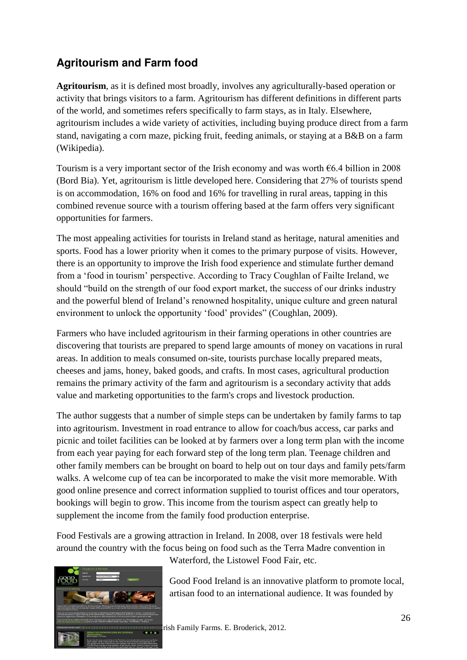## <span id="page-25-0"></span>**Agritourism and Farm food**

**Agritourism**, as it is defined most broadly, involves any agriculturally-based operation or activity that brings visitors to a farm. Agritourism has different definitions in different parts of the world, and sometimes refers specifically to farm stays, as in Italy. Elsewhere, agritourism includes a wide variety of activities, including buying produce direct from a farm stand, navigating a corn maze, picking fruit, feeding animals, or staying at a B&B on a farm (Wikipedia).

Tourism is a very important sector of the Irish economy and was worth  $\epsilon$ 6.4 billion in 2008 (Bord Bia). Yet, agritourism is little developed here. Considering that 27% of tourists spend is on accommodation, 16% on food and 16% for travelling in rural areas, tapping in this combined revenue source with a tourism offering based at the farm offers very significant opportunities for farmers.

The most appealing activities for tourists in Ireland stand as heritage, natural amenities and sports. Food has a lower priority when it comes to the primary purpose of visits. However, there is an opportunity to improve the Irish food experience and stimulate further demand from a 'food in tourism' perspective. According to Tracy Coughlan of Failte Ireland, we should "build on the strength of our food export market, the success of our drinks industry and the powerful blend of Ireland's renowned hospitality, unique culture and green natural environment to unlock the opportunity 'food' provides" (Coughlan, 2009).

Farmers who have included agritourism in their farming operations in other countries are discovering that tourists are prepared to spend large amounts of money on vacations in rural areas. In addition to meals consumed on-site, tourists purchase locally prepared meats, cheeses and jams, honey, baked goods, and crafts. In most cases, agricultural production remains the primary activity of the farm and agritourism is a secondary activity that adds value and marketing opportunities to the farm's crops and livestock production.

The author suggests that a number of simple steps can be undertaken by family farms to tap into agritourism. Investment in road entrance to allow for coach/bus access, car parks and picnic and toilet facilities can be looked at by farmers over a long term plan with the income from each year paying for each forward step of the long term plan. Teenage children and other family members can be brought on board to help out on tour days and family pets/farm walks. A welcome cup of tea can be incorporated to make the visit more memorable. With good online presence and correct information supplied to tourist offices and tour operators, bookings will begin to grow. This income from the tourism aspect can greatly help to supplement the income from the family food production enterprise.

Food Festivals are a growing attraction in Ireland. In 2008, over 18 festivals were held around the country with the focus being on food such as the Terra Madre convention in



Waterford, the Listowel Food Fair, etc.

Good Food Ireland is an innovative platform to promote local, artisan food to an international audience. It was founded by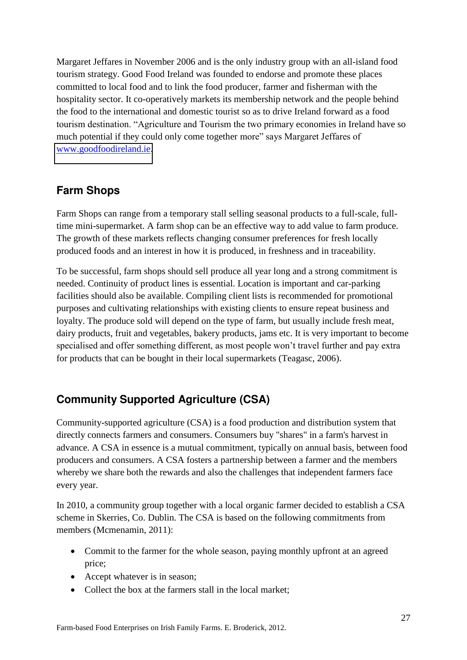Margaret Jeffares in November 2006 and is the only industry group with an all-island food tourism strategy. Good Food Ireland was founded to endorse and promote these places committed to local food and to link the food producer, farmer and fisherman with the hospitality sector. It co-operatively markets its membership network and the people behind the food to the international and domestic tourist so as to drive Ireland forward as a food tourism destination. "Agriculture and Tourism the two primary economies in Ireland have so much potential if they could only come together more" says Margaret Jeffares of [www.goodfoodireland.ie.](http://www.goodfoodireland.ie/)

### <span id="page-26-0"></span>**Farm Shops**

Farm Shops can range from a temporary stall selling seasonal products to a full-scale, fulltime mini-supermarket. A farm shop can be an effective way to add value to farm produce. The growth of these markets reflects changing consumer preferences for fresh locally produced foods and an interest in how it is produced, in freshness and in traceability.

To be successful, farm shops should sell produce all year long and a strong commitment is needed. Continuity of product lines is essential. Location is important and car-parking facilities should also be available. Compiling client lists is recommended for promotional purposes and cultivating relationships with existing clients to ensure repeat business and loyalty. The produce sold will depend on the type of farm, but usually include fresh meat, dairy products, fruit and vegetables, bakery products, jams etc. It is very important to become specialised and offer something different, as most people won't travel further and pay extra for products that can be bought in their local supermarkets (Teagasc, 2006).

## <span id="page-26-1"></span>**Community Supported Agriculture (CSA)**

Community-supported agriculture (CSA) is a food production and distribution system that directly connects farmers and consumers. Consumers buy "shares" in a farm's harvest in advance. A CSA in essence is a mutual commitment, typically on annual basis, between food producers and consumers. A CSA fosters a partnership between a farmer and the members whereby we share both the rewards and also the challenges that independent farmers face every year.

In 2010, a community group together with a local organic farmer decided to establish a CSA scheme in Skerries, Co. Dublin. The CSA is based on the following commitments from members (Mcmenamin, 2011):

- Commit to the farmer for the whole season, paying monthly upfront at an agreed price;
- Accept whatever is in season;
- Collect the box at the farmers stall in the local market: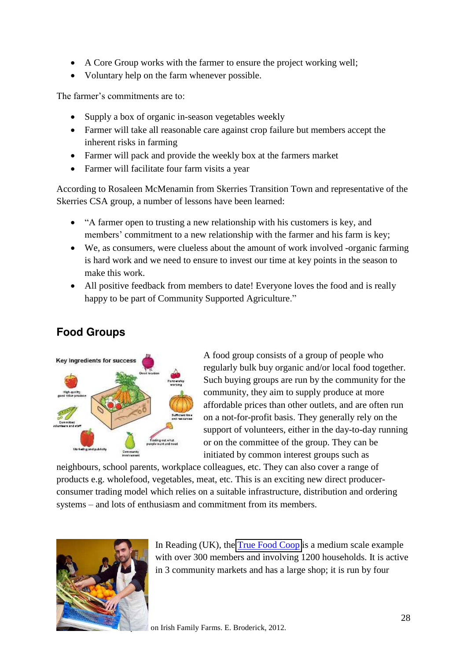- A Core Group works with the farmer to ensure the project working well;
- Voluntary help on the farm whenever possible.

The farmer's commitments are to:

- Supply a box of organic in-season vegetables weekly
- Farmer will take all reasonable care against crop failure but members accept the inherent risks in farming
- Farmer will pack and provide the weekly box at the farmers market
- Farmer will facilitate four farm visits a year

According to Rosaleen McMenamin from Skerries Transition Town and representative of the Skerries CSA group, a number of lessons have been learned:

- "A farmer open to trusting a new relationship with his customers is key, and members' commitment to a new relationship with the farmer and his farm is key;
- We, as consumers, were clueless about the amount of work involved -organic farming is hard work and we need to ensure to invest our time at key points in the season to make this work.
- All positive feedback from members to date! Everyone loves the food and is really happy to be part of Community Supported Agriculture."

## <span id="page-27-0"></span>**Food Groups**



A food group consists of a group of people who regularly bulk buy organic and/or local food together. Such buying groups are run by the community for the community, they aim to supply produce at more affordable prices than other outlets, and are often run on a not-for-profit basis. They generally rely on the support of volunteers, either in the day-to-day running or on the committee of the group. They can be initiated by common interest groups such as

neighbours, school parents, workplace colleagues, etc. They can also cover a range of products e.g. wholefood, vegetables, meat, etc. This is an exciting new direct producerconsumer trading model which relies on a suitable infrastructure, distribution and ordering systems – and lots of enthusiasm and commitment from its members.



In Reading (UK), the [True Food Coop](http://www.truefood.coop/) is a medium scale example with over 300 members and involving 1200 households. It is active in 3 community markets and has a large shop; it is run by four

on Irish Family Farms. E. Broderick, 2012.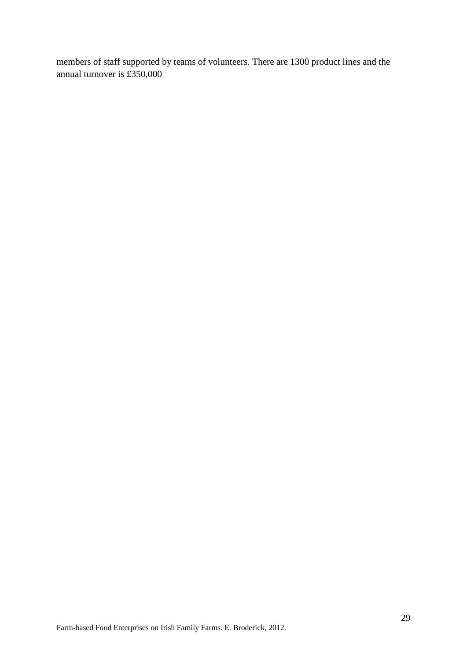members of staff supported by teams of volunteers. There are 1300 product lines and the annual turnover is £350,000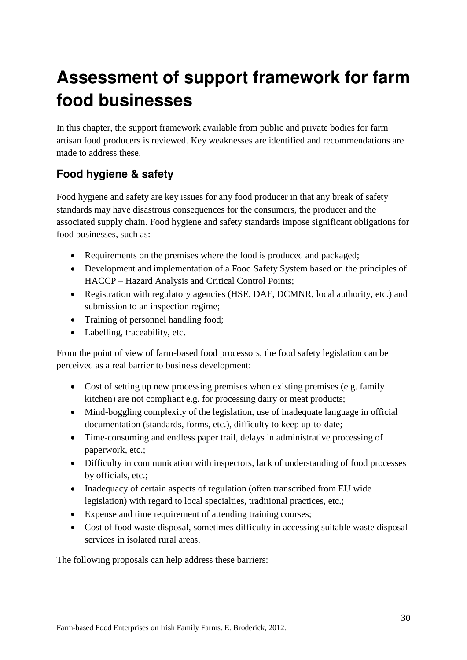# <span id="page-29-0"></span>**Assessment of support framework for farm food businesses**

In this chapter, the support framework available from public and private bodies for farm artisan food producers is reviewed. Key weaknesses are identified and recommendations are made to address these.

## <span id="page-29-1"></span>**Food hygiene & safety**

Food hygiene and safety are key issues for any food producer in that any break of safety standards may have disastrous consequences for the consumers, the producer and the associated supply chain. Food hygiene and safety standards impose significant obligations for food businesses, such as:

- Requirements on the premises where the food is produced and packaged;
- Development and implementation of a Food Safety System based on the principles of HACCP – Hazard Analysis and Critical Control Points;
- Registration with regulatory agencies (HSE, DAF, DCMNR, local authority, etc.) and submission to an inspection regime;
- Training of personnel handling food;
- Labelling, traceability, etc.

From the point of view of farm-based food processors, the food safety legislation can be perceived as a real barrier to business development:

- Cost of setting up new processing premises when existing premises (e.g. family kitchen) are not compliant e.g. for processing dairy or meat products;
- Mind-boggling complexity of the legislation, use of inadequate language in official documentation (standards, forms, etc.), difficulty to keep up-to-date;
- Time-consuming and endless paper trail, delays in administrative processing of paperwork, etc.;
- Difficulty in communication with inspectors, lack of understanding of food processes by officials, etc.;
- Inadequacy of certain aspects of regulation (often transcribed from EU wide legislation) with regard to local specialties, traditional practices, etc.;
- Expense and time requirement of attending training courses;
- Cost of food waste disposal, sometimes difficulty in accessing suitable waste disposal services in isolated rural areas.

The following proposals can help address these barriers: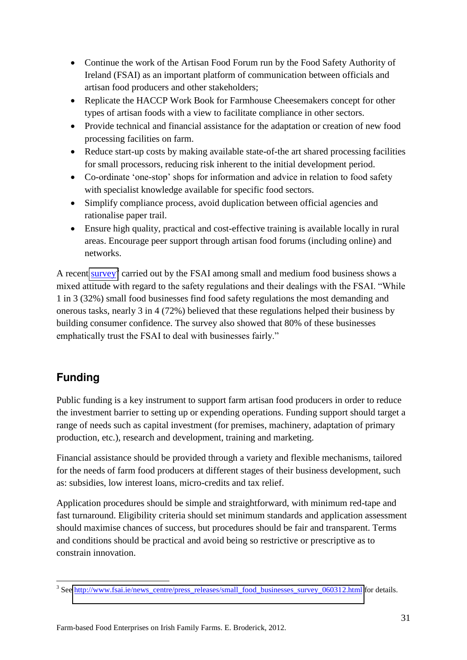- Continue the work of the Artisan Food Forum run by the Food Safety Authority of Ireland (FSAI) as an important platform of communication between officials and artisan food producers and other stakeholders;
- Replicate the HACCP Work Book for Farmhouse Cheesemakers concept for other types of artisan foods with a view to facilitate compliance in other sectors.
- Provide technical and financial assistance for the adaptation or creation of new food processing facilities on farm.
- Reduce start-up costs by making available state-of-the art shared processing facilities for small processors, reducing risk inherent to the initial development period.
- Co-ordinate 'one-stop' shops for information and advice in relation to food safety with specialist knowledge available for specific food sectors.
- Simplify compliance process, avoid duplication between official agencies and rationalise paper trail.
- Ensure high quality, practical and cost-effective training is available locally in rural areas. Encourage peer support through artisan food forums (including online) and networks.

A recent [survey](http://www.fsai.ie/news_centre/press_releases/small_food_businesses_survey_060312.html)<sup>3</sup> carried out by the FSAI among small and medium food business shows a mixed attitude with regard to the safety regulations and their dealings with the FSAI. "While 1 in 3 (32%) small food businesses find food safety regulations the most demanding and onerous tasks, nearly 3 in 4 (72%) believed that these regulations helped their business by building consumer confidence. The survey also showed that 80% of these businesses emphatically trust the FSAI to deal with businesses fairly."

## <span id="page-30-0"></span>**Funding**

Public funding is a key instrument to support farm artisan food producers in order to reduce the investment barrier to setting up or expending operations. Funding support should target a range of needs such as capital investment (for premises, machinery, adaptation of primary production, etc.), research and development, training and marketing.

Financial assistance should be provided through a variety and flexible mechanisms, tailored for the needs of farm food producers at different stages of their business development, such as: subsidies, low interest loans, micro-credits and tax relief.

Application procedures should be simple and straightforward, with minimum red-tape and fast turnaround. Eligibility criteria should set minimum standards and application assessment should maximise chances of success, but procedures should be fair and transparent. Terms and conditions should be practical and avoid being so restrictive or prescriptive as to constrain innovation.

<sup>&</sup>lt;u>3</u><br><sup>3</sup> See <u>http://www.fsai.ie/news\_centre/press\_releases/small\_food\_businesses\_survey\_060312.html</u> for details.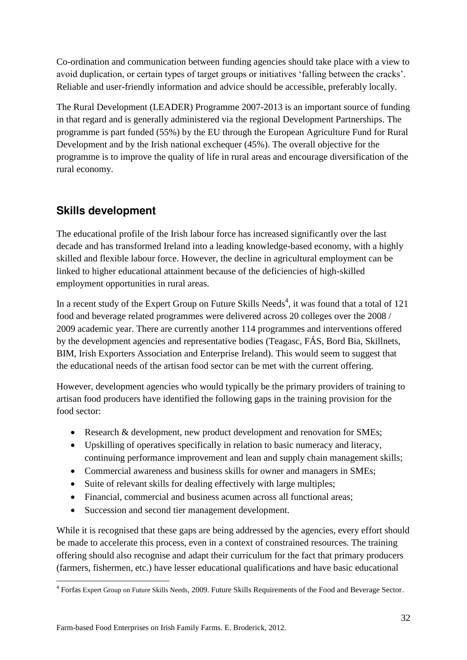Co-ordination and communication between funding agencies should take place with a view to avoid duplication, or certain types of target groups or initiatives 'falling between the cracks'. Reliable and user-friendly information and advice should be accessible, preferably locally.

The Rural Development (LEADER) Programme 2007-2013 is an important source of funding in that regard and is generally administered via the regional Development Partnerships. The programme is part funded (55%) by the EU through the European Agriculture Fund for Rural Development and by the Irish national exchequer (45%). The overall objective for the programme is to improve the quality of life in rural areas and encourage diversification of the rural economy.

### <span id="page-31-0"></span>**Skills development**

The educational profile of the Irish labour force has increased significantly over the last decade and has transformed Ireland into a leading knowledge-based economy, with a highly skilled and flexible labour force. However, the decline in agricultural employment can be linked to higher educational attainment because of the deficiencies of high-skilled employment opportunities in rural areas.

In a recent study of the Expert Group on Future Skills Needs<sup>4</sup>, it was found that a total of 121 food and beverage related programmes were delivered across 20 colleges over the 2008 / 2009 academic year. There are currently another 114 programmes and interventions offered by the development agencies and representative bodies (Teagasc, FÁS, Bord Bia, Skillnets, BIM, Irish Exporters Association and Enterprise Ireland). This would seem to suggest that the educational needs of the artisan food sector can be met with the current offering.

However, development agencies who would typically be the primary providers of training to artisan food producers have identified the following gaps in the training provision for the food sector:

- Research & development, new product development and renovation for SMEs;
- Upskilling of operatives specifically in relation to basic numeracy and literacy, continuing performance improvement and lean and supply chain management skills;
- Commercial awareness and business skills for owner and managers in SMEs;
- Suite of relevant skills for dealing effectively with large multiples;
- Financial, commercial and business acumen across all functional areas;
- Succession and second tier management development.

While it is recognised that these gaps are being addressed by the agencies, every effort should be made to accelerate this process, even in a context of constrained resources. The training offering should also recognise and adapt their curriculum for the fact that primary producers (farmers, fishermen, etc.) have lesser educational qualifications and have basic educational

 4 Forfas Expert Group on Future Skills Needs, 2009. Future Skills Requirements of the Food and Beverage Sector.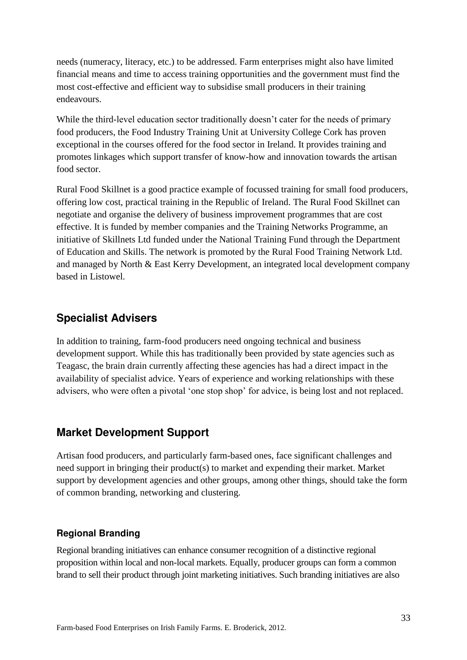needs (numeracy, literacy, etc.) to be addressed. Farm enterprises might also have limited financial means and time to access training opportunities and the government must find the most cost-effective and efficient way to subsidise small producers in their training endeavours.

While the third-level education sector traditionally doesn't cater for the needs of primary food producers, the Food Industry Training Unit at University College Cork has proven exceptional in the courses offered for the food sector in Ireland. It provides training and promotes linkages which support transfer of know-how and innovation towards the artisan food sector.

Rural Food Skillnet is a good practice example of focussed training for small food producers, offering low cost, practical training in the Republic of Ireland. The Rural Food Skillnet can negotiate and organise the delivery of business improvement programmes that are cost effective. It is funded by member companies and the Training Networks Programme, an initiative of Skillnets Ltd funded under the National Training Fund through the Department of Education and Skills. The network is promoted by the Rural Food Training Network Ltd. and managed by North & East Kerry Development, an integrated local development company based in Listowel.

### <span id="page-32-0"></span>**Specialist Advisers**

In addition to training, farm-food producers need ongoing technical and business development support. While this has traditionally been provided by state agencies such as Teagasc, the brain drain currently affecting these agencies has had a direct impact in the availability of specialist advice. Years of experience and working relationships with these advisers, who were often a pivotal 'one stop shop' for advice, is being lost and not replaced.

#### <span id="page-32-1"></span>**Market Development Support**

Artisan food producers, and particularly farm-based ones, face significant challenges and need support in bringing their product(s) to market and expending their market. Market support by development agencies and other groups, among other things, should take the form of common branding, networking and clustering.

#### <span id="page-32-2"></span>**Regional Branding**

Regional branding initiatives can enhance consumer recognition of a distinctive regional proposition within local and non-local markets. Equally, producer groups can form a common brand to sell their product through joint marketing initiatives. Such branding initiatives are also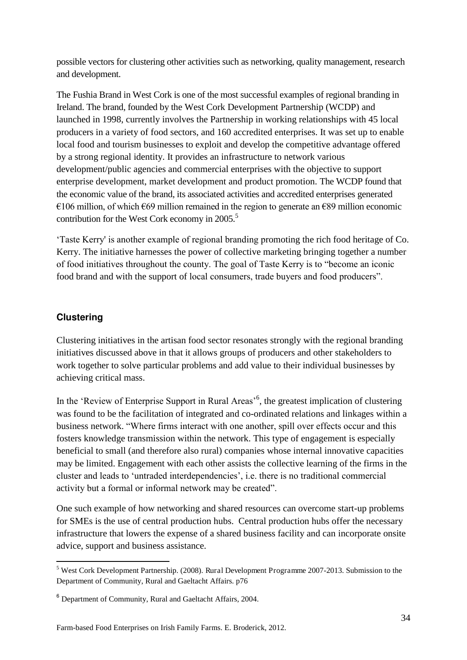possible vectors for clustering other activities such as networking, quality management, research and development.

The Fushia Brand in West Cork is one of the most successful examples of regional branding in Ireland. The brand, founded by the West Cork Development Partnership (WCDP) and launched in 1998, currently involves the Partnership in working relationships with 45 local producers in a variety of food sectors, and 160 accredited enterprises. It was set up to enable local food and tourism businesses to exploit and develop the competitive advantage offered by a strong regional identity. It provides an infrastructure to network various development/public agencies and commercial enterprises with the objective to support enterprise development, market development and product promotion. The WCDP found that the economic value of the brand, its associated activities and accredited enterprises generated  $€106$  million, of which  $€69$  million remained in the region to generate an  $€89$  million economic contribution for the West Cork economy in 2005.<sup>5</sup>

'Taste Kerry' is another example of regional branding promoting the rich food heritage of Co. Kerry. The initiative harnesses the power of collective marketing bringing together a number of food initiatives throughout the county. The goal of Taste Kerry is to "become an iconic food brand and with the support of local consumers, trade buyers and food producers".

#### <span id="page-33-0"></span>**Clustering**

Clustering initiatives in the artisan food sector resonates strongly with the regional branding initiatives discussed above in that it allows groups of producers and other stakeholders to work together to solve particular problems and add value to their individual businesses by achieving critical mass.

In the 'Review of Enterprise Support in Rural Areas'<sup>6</sup>, the greatest implication of clustering was found to be the facilitation of integrated and co-ordinated relations and linkages within a business network. "Where firms interact with one another, spill over effects occur and this fosters knowledge transmission within the network. This type of engagement is especially beneficial to small (and therefore also rural) companies whose internal innovative capacities may be limited. Engagement with each other assists the collective learning of the firms in the cluster and leads to 'untraded interdependencies', i.e. there is no traditional commercial activity but a formal or informal network may be created".

One such example of how networking and shared resources can overcome start-up problems for SMEs is the use of central production hubs. Central production hubs offer the necessary infrastructure that lowers the expense of a shared business facility and can incorporate onsite advice, support and business assistance.

 5 West Cork Development Partnership. (2008). Rural Development Programme 2007-2013. Submission to the Department of Community, Rural and Gaeltacht Affairs. p76

<sup>&</sup>lt;sup>6</sup> Department of Community, Rural and Gaeltacht Affairs, 2004.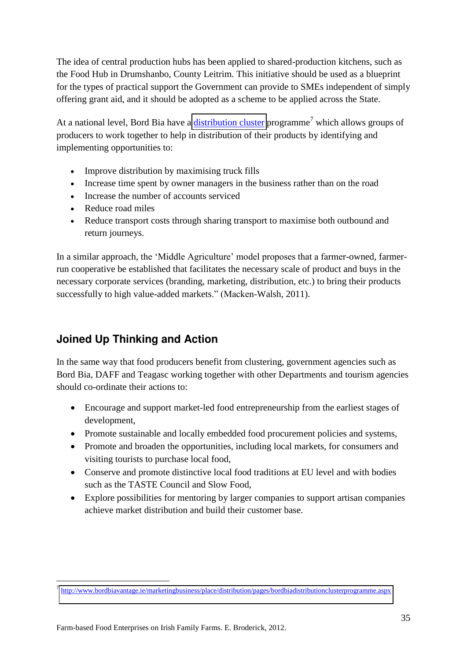The idea of central production hubs has been applied to shared-production kitchens, such as the Food Hub in Drumshanbo, County Leitrim. This initiative should be used as a blueprint for the types of practical support the Government can provide to SMEs independent of simply offering grant aid, and it should be adopted as a scheme to be applied across the State.

At a national level, Bord Bia have a *distribution cluster* programme<sup>7</sup> which allows groups of producers to work together to help in distribution of their products by identifying and implementing opportunities to:

- Improve distribution by maximising truck fills
- Increase time spent by owner managers in the business rather than on the road
- Increase the number of accounts serviced
- Reduce road miles
- Reduce transport costs through sharing transport to maximise both outbound and return journeys.

In a similar approach, the 'Middle Agriculture' model proposes that a farmer-owned, farmerrun cooperative be established that facilitates the necessary scale of product and buys in the necessary corporate services (branding, marketing, distribution, etc.) to bring their products successfully to high value-added markets." (Macken-Walsh, 2011).

## <span id="page-34-0"></span>**Joined Up Thinking and Action**

In the same way that food producers benefit from clustering, government agencies such as Bord Bia, DAFF and Teagasc working together with other Departments and tourism agencies should co-ordinate their actions to:

- Encourage and support market-led food entrepreneurship from the earliest stages of development,
- Promote sustainable and locally embedded food procurement policies and systems,
- Promote and broaden the opportunities, including local markets, for consumers and visiting tourists to purchase local food,
- Conserve and promote distinctive local food traditions at EU level and with bodies such as the TASTE Council and Slow Food,
- Explore possibilities for mentoring by larger companies to support artisan companies achieve market distribution and build their customer base.

<u>.</u>

<sup>&</sup>lt;sup>7</sup> <http://www.bordbiavantage.ie/marketingbusiness/place/distribution/pages/bordbiadistributionclusterprogramme.aspx>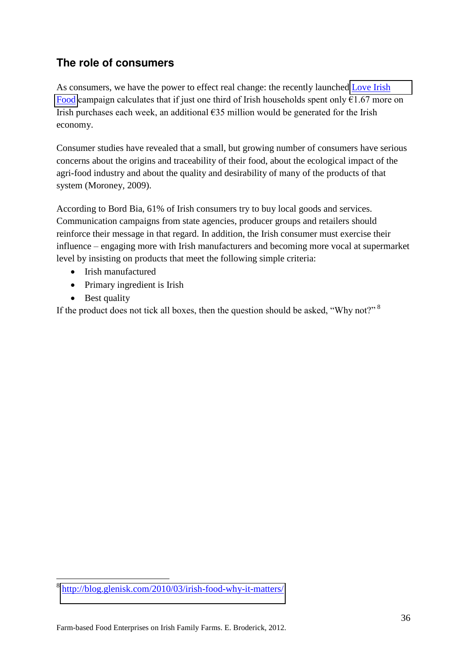### <span id="page-35-0"></span>**The role of consumers**

As consumers, we have the power to effect real change: the recently launched Love Irish [Food](http://www.loveirishfood.ie/) campaign calculates that if just one third of Irish households spent only  $E1.67$  more on Irish purchases each week, an additional  $\epsilon$ 35 million would be generated for the Irish economy.

Consumer studies have revealed that a small, but growing number of consumers have serious concerns about the origins and traceability of their food, about the ecological impact of the agri-food industry and about the quality and desirability of many of the products of that system (Moroney, 2009).

According to Bord Bia, 61% of Irish consumers try to buy local goods and services. Communication campaigns from state agencies, producer groups and retailers should reinforce their message in that regard. In addition, the Irish consumer must exercise their influence – engaging more with Irish manufacturers and becoming more vocal at supermarket level by insisting on products that meet the following simple criteria:

- Irish manufactured
- Primary ingredient is Irish
- Best quality

If the product does not tick all boxes, then the question should be asked, "Why not?" $8$ 

<sup>&</sup>lt;u>.</u> 8 <http://blog.glenisk.com/2010/03/irish-food-why-it-matters/>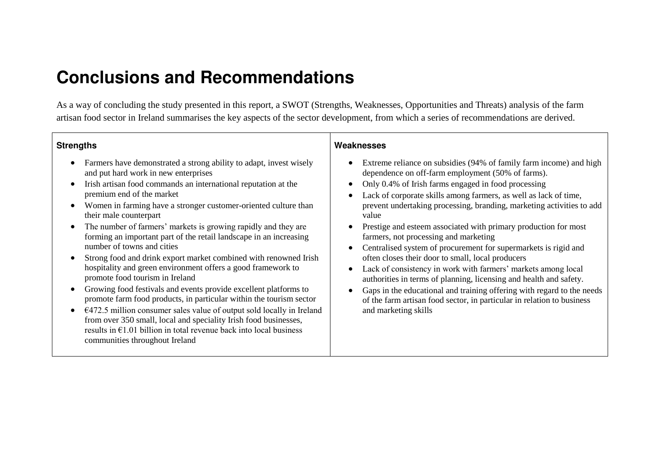## **Conclusions and Recommendations**

As a way of concluding the study presented in this report, a SWOT (Strengths, Weaknesses, Opportunities and Threats) analysis of the farm artisan food sector in Ireland summarises the key aspects of the sector development, from which a series of recommendations are derived.

#### **Strengths**

- Farmers have demonstrated a strong ability to adapt, invest wisely and put hard work in new enterprises
- Irish artisan food commands an international reputation at the premium end of the market
- Women in farming have a stronger customer-oriented culture than their male counterpart
- The number of farmers' markets is growing rapidly and they are forming an important part of the retail landscape in an increasing number of towns and cities
- <span id="page-36-0"></span> Strong food and drink export market combined with renowned Irish hospitality and green environment offers a good framework to promote food tourism in Ireland
- Growing food festivals and events provide excellent platforms to promote farm food products, in particular within the tourism sector
- <span id="page-36-1"></span> $\cdot$   $\in$  472.5 million consumer sales value of output sold locally in Ireland from over 350 small, local and speciality Irish food businesses, results in  $E1.01$  billion in total revenue back into local business communities throughout Ireland

#### **Weaknesses**

- Extreme reliance on subsidies (94% of family farm income) and high dependence on off-farm employment (50% of farms).
- Only 0.4% of Irish farms engaged in food processing
- Lack of corporate skills among farmers, as well as lack of time, prevent undertaking processing, branding, marketing activities to add value
- Prestige and esteem associated with primary production for most farmers, not processing and marketing
- Centralised system of procurement for supermarkets is rigid and often closes their door to small, local producers
- Lack of consistency in work with farmers' markets among local authorities in terms of planning, licensing and health and safety.
- <span id="page-36-2"></span> Gaps in the educational and training offering with regard to the needs of the farm artisan food sector, in particular in relation to business and marketing skills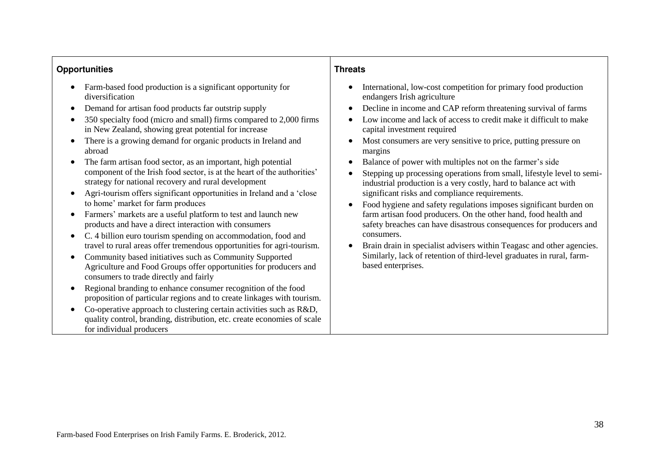#### **Opportunities**

- Farm-based food production is a significant opportunity for diversification
- Demand for artisan food products far outstrip supply
- 350 specialty food (micro and small) firms compared to 2,000 firms in New Zealand, showing great potential for increase
- There is a growing demand for organic products in Ireland and abroad
- The farm artisan food sector, as an important, high potential component of the Irish food sector, is at the heart of the authorities' strategy for national recovery and rural development
- Agri-tourism offers significant opportunities in Ireland and a 'close to home' market for farm produces
- Farmers' markets are a useful platform to test and launch new products and have a direct interaction with consumers
- C. 4 billion euro tourism spending on accommodation, food and travel to rural areas offer tremendous opportunities for agri-tourism.
- <span id="page-37-0"></span> Community based initiatives such as Community Supported Agriculture and Food Groups offer opportunities for producers and consumers to trade directly and fairly
- Regional branding to enhance consumer recognition of the food proposition of particular regions and to create linkages with tourism.
- Co-operative approach to clustering certain activities such as R&D. quality control, branding, distribution, etc. create economies of scale for individual producers

#### **Threats**

- International, low-cost competition for primary food production endangers Irish agriculture
- Decline in income and CAP reform threatening survival of farms
- Low income and lack of access to credit make it difficult to make capital investment required
- Most consumers are very sensitive to price, putting pressure on margins
- Balance of power with multiples not on the farmer's side
- Stepping up processing operations from small, lifestyle level to semiindustrial production is a very costly, hard to balance act with significant risks and compliance requirements.
- Food hygiene and safety regulations imposes significant burden on farm artisan food producers. On the other hand, food health and safety breaches can have disastrous consequences for producers and consumers.
- <span id="page-37-1"></span> Brain drain in specialist advisers within Teagasc and other agencies. Similarly, lack of retention of third-level graduates in rural, farmbased enterprises.